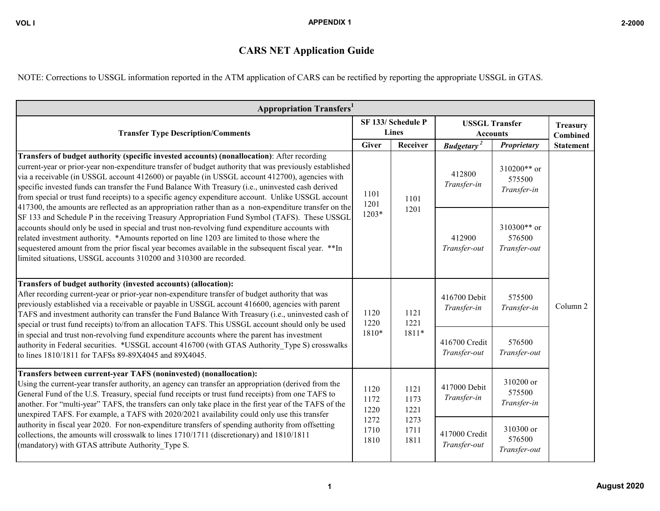## **CARS NET Application Guide**

NOTE: Corrections to USSGL information reported in the ATM application of CARS can be rectified by reporting the appropriate USSGL in GTAS.

| <b>Appropriation Transfers</b> <sup>1</sup>                                                                                                                                                                                                                                                                                                                                                                                                                                                                                                                                                                                     |                                              |                      |                               |                                          |                                      |  |
|---------------------------------------------------------------------------------------------------------------------------------------------------------------------------------------------------------------------------------------------------------------------------------------------------------------------------------------------------------------------------------------------------------------------------------------------------------------------------------------------------------------------------------------------------------------------------------------------------------------------------------|----------------------------------------------|----------------------|-------------------------------|------------------------------------------|--------------------------------------|--|
| <b>Transfer Type Description/Comments</b>                                                                                                                                                                                                                                                                                                                                                                                                                                                                                                                                                                                       | SF 133/ Schedule P<br><b>Lines</b>           |                      |                               | <b>USSGL Transfer</b><br><b>Accounts</b> |                                      |  |
|                                                                                                                                                                                                                                                                                                                                                                                                                                                                                                                                                                                                                                 | <b>Giver</b>                                 | Receiver             | <b>Budgetary</b> <sup>2</sup> | Proprietary                              | <b>Statement</b>                     |  |
| Transfers of budget authority (specific invested accounts) (nonallocation): After recording<br>current-year or prior-year non-expenditure transfer of budget authority that was previously established<br>via a receivable (in USSGL account 412600) or payable (in USSGL account 412700), agencies with<br>specific invested funds can transfer the Fund Balance With Treasury (i.e., uninvested cash derived<br>from special or trust fund receipts) to a specific agency expenditure account. Unlike USSGL account<br>417300, the amounts are reflected as an appropriation rather than as a non-expenditure transfer on the | 1101<br>1201<br>$1203*$                      | 1101                 | 1201                          | 412800<br>Transfer-in                    | 310200** or<br>575500<br>Transfer-in |  |
| SF 133 and Schedule P in the receiving Treasury Appropriation Fund Symbol (TAFS). These USSGL<br>accounts should only be used in special and trust non-revolving fund expenditure accounts with<br>related investment authority. *Amounts reported on line 1203 are limited to those where the<br>sequestered amount from the prior fiscal year becomes available in the subsequent fiscal year. ** In<br>limited situations, USSGL accounts 310200 and 310300 are recorded.                                                                                                                                                    |                                              |                      | 412900<br>Transfer-out        | 310300** or<br>576500<br>Transfer-out    |                                      |  |
| Transfers of budget authority (invested accounts) (allocation):<br>After recording current-year or prior-year non-expenditure transfer of budget authority that was<br>previously established via a receivable or payable in USSGL account 416600, agencies with parent<br>TAFS and investment authority can transfer the Fund Balance With Treasury (i.e., uninvested cash of<br>special or trust fund receipts) to/from an allocation TAFS. This USSGL account should only be used                                                                                                                                            | 1120<br>1220                                 | 1121<br>1221         | 416700 Debit<br>Transfer-in   | 575500<br>Transfer-in                    | Column <sub>2</sub>                  |  |
| in special and trust non-revolving fund expenditure accounts where the parent has investment<br>authority in Federal securities. *USSGL account 416700 (with GTAS Authority Type S) crosswalks<br>to lines 1810/1811 for TAFSs 89-89X4045 and 89X4045.                                                                                                                                                                                                                                                                                                                                                                          | 1810*                                        | 1811*                | 416700 Credit<br>Transfer-out | 576500<br>Transfer-out                   |                                      |  |
| Transfers between current-year TAFS (noninvested) (nonallocation):<br>Using the current-year transfer authority, an agency can transfer an appropriation (derived from the<br>General Fund of the U.S. Treasury, special fund receipts or trust fund receipts) from one TAFS to<br>another. For "multi-year" TAFS, the transfers can only take place in the first year of the TAFS of the<br>unexpired TAFS. For example, a TAFS with 2020/2021 availability could only use this transfer                                                                                                                                       | 1120<br>1172<br>1220<br>1272<br>1710<br>1810 | 1121<br>1173<br>1221 | 417000 Debit<br>Transfer-in   | 310200 or<br>575500<br>Transfer-in       |                                      |  |
| authority in fiscal year 2020. For non-expenditure transfers of spending authority from offsetting<br>collections, the amounts will crosswalk to lines 1710/1711 (discretionary) and 1810/1811<br>(mandatory) with GTAS attribute Authority Type S.                                                                                                                                                                                                                                                                                                                                                                             |                                              | 1273<br>1711<br>1811 |                               | 417000 Credit<br>Transfer-out            | 310300 or<br>576500<br>Transfer-out  |  |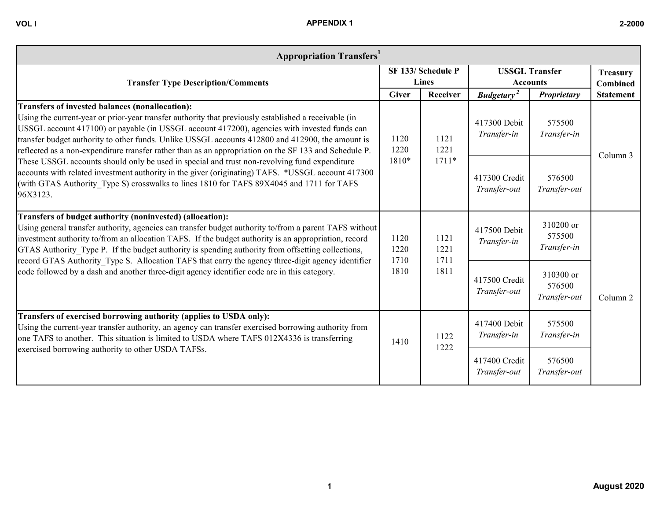| <b>Appropriation Transfers</b>                                                                                                                                                                                                                                                                                                                                                                                                                                       |              |                             |                                          |                        |                                    |
|----------------------------------------------------------------------------------------------------------------------------------------------------------------------------------------------------------------------------------------------------------------------------------------------------------------------------------------------------------------------------------------------------------------------------------------------------------------------|--------------|-----------------------------|------------------------------------------|------------------------|------------------------------------|
| <b>Transfer Type Description/Comments</b>                                                                                                                                                                                                                                                                                                                                                                                                                            |              | SF 133/ Schedule P<br>Lines | <b>USSGL Transfer</b><br><b>Accounts</b> |                        | <b>Treasury</b><br><b>Combined</b> |
|                                                                                                                                                                                                                                                                                                                                                                                                                                                                      | <b>Giver</b> | Receiver                    | <b>Budgetary</b>                         | Proprietary            |                                    |
| Transfers of invested balances (nonallocation):<br>Using the current-year or prior-year transfer authority that previously established a receivable (in<br>USSGL account 417100) or payable (in USSGL account 417200), agencies with invested funds can<br>transfer budget authority to other funds. Unlike USSGL accounts 412800 and 412900, the amount is<br>reflected as a non-expenditure transfer rather than as an appropriation on the SF 133 and Schedule P. | 120<br>1220  | 1121<br>1221                | 417300 Debit<br>Transfer-in              | 575500<br>Transfer-in  |                                    |
| These USSGL accounts should only be used in special and trust non-revolving fund expenditure<br>accounts with related investment authority in the giver (originating) TAFS. *USSGL account 417300<br>(with GTAS Authority Type S) crosswalks to lines 1810 for TAFS 89X4045 and 1711 for TAFS<br>96X3123.                                                                                                                                                            | 1810*        | $1711*$                     | 417300 Credit<br>Transfer-out            | 576500<br>Transfer-out | Column 3                           |
| Transfers of budget authority (noninvested) (allocation):                                                                                                                                                                                                                                                                                                                                                                                                            |              |                             |                                          | $310200 \text{ or }$   |                                    |

| Transfers of budget authority (noninvested) (allocation):<br>Using general transfer authority, agencies can transfer budget authority to/from a parent TAFS without<br>investment authority to/from an allocation TAFS. If the budget authority is an appropriation, record<br>1120<br>1220<br>GTAS Authority Type P. If the budget authority is spending authority from offsetting collections,<br>record GTAS Authority Type S. Allocation TAFS that carry the agency three-digit agency identifier |              | 1121<br>1221<br>1711 | 417500 Debit<br>Transfer-in   | 310200 or<br>575500<br>Transfer-in  |                     |
|-------------------------------------------------------------------------------------------------------------------------------------------------------------------------------------------------------------------------------------------------------------------------------------------------------------------------------------------------------------------------------------------------------------------------------------------------------------------------------------------------------|--------------|----------------------|-------------------------------|-------------------------------------|---------------------|
| code followed by a dash and another three-digit agency identifier code are in this category.                                                                                                                                                                                                                                                                                                                                                                                                          | 1710<br>1810 | 1811                 | 417500 Credit<br>Transfer-out | 310300 or<br>576500<br>Transfer-out | Column <sub>2</sub> |
| Transfers of exercised borrowing authority (applies to USDA only):<br>Using the current-year transfer authority, an agency can transfer exercised borrowing authority from<br>one TAFS to another. This situation is limited to USDA where TAFS 012X4336 is transferring<br>exercised borrowing authority to other USDA TAFSs.                                                                                                                                                                        | 1410         | 1122<br>1222         | 417400 Debit<br>Transfer-in   | 575500<br>Transfer-in               |                     |
|                                                                                                                                                                                                                                                                                                                                                                                                                                                                                                       |              |                      | 417400 Credit<br>Transfer-out | 576500<br>Transfer-out              |                     |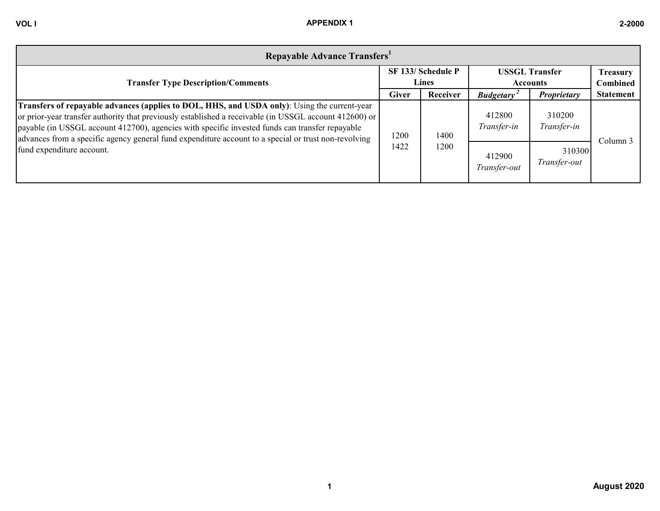| Repayable Advance Transfers <sup>1</sup>                                                                                                                                                                                                                                                                                                                                                                                  |              |                                    |                                          |                        |                                    |
|---------------------------------------------------------------------------------------------------------------------------------------------------------------------------------------------------------------------------------------------------------------------------------------------------------------------------------------------------------------------------------------------------------------------------|--------------|------------------------------------|------------------------------------------|------------------------|------------------------------------|
| <b>Transfer Type Description/Comments</b>                                                                                                                                                                                                                                                                                                                                                                                 |              | SF 133/ Schedule P<br><b>Lines</b> | <b>USSGL Transfer</b><br><b>Accounts</b> |                        | <b>Treasury</b><br><b>Combined</b> |
|                                                                                                                                                                                                                                                                                                                                                                                                                           | <b>Giver</b> | Receiver                           | <b>Budgetary</b>                         | Proprietary            | <b>Statement</b>                   |
| <b>Transfers of repayable advances (applies to DOL, HHS, and USDA only)</b> : Using the current-year<br>or prior-year transfer authority that previously established a receivable (in USSGL account 412600) or<br>payable (in USSGL account 412700), agencies with specific invested funds can transfer repayable<br>advances from a specific agency general fund expenditure account to a special or trust non-revolving | 1200         | 1400                               | 412800<br>Transfer-in                    | 310200<br>Transfer-in  | Column 3                           |
| fund expenditure account.                                                                                                                                                                                                                                                                                                                                                                                                 | 1422         | 1200                               | 412900<br>Transfer-out                   | 310300<br>Transfer-out |                                    |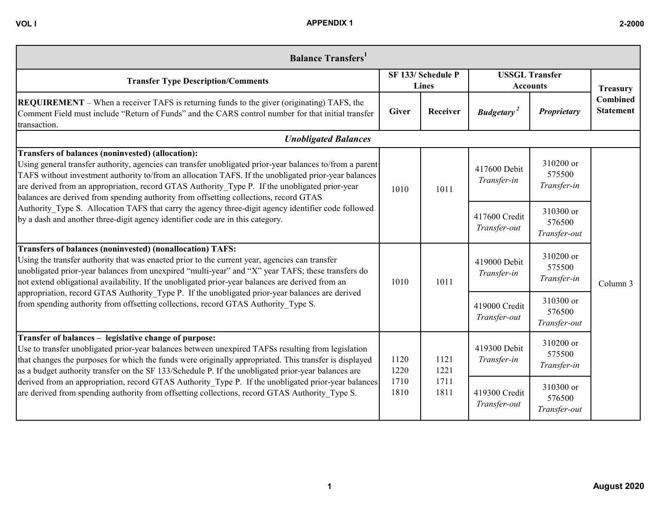| <b>Balance Transfers</b>                                                                                                                                                                                                                                                                                                                                                                                                                                         |                                    |                                                                      |                                          |                                     |                                     |          |
|------------------------------------------------------------------------------------------------------------------------------------------------------------------------------------------------------------------------------------------------------------------------------------------------------------------------------------------------------------------------------------------------------------------------------------------------------------------|------------------------------------|----------------------------------------------------------------------|------------------------------------------|-------------------------------------|-------------------------------------|----------|
| <b>Transfer Type Description/Comments</b>                                                                                                                                                                                                                                                                                                                                                                                                                        | SF 133/ Schedule P<br><b>Lines</b> |                                                                      | <b>USSGL Transfer</b><br><b>Accounts</b> |                                     | <b>Treasury</b>                     |          |
| <b>REQUIREMENT</b> – When a receiver TAFS is returning funds to the giver (originating) TAFS, the<br>Comment Field must include "Return of Funds" and the CARS control number for that initial transfer<br>transaction.                                                                                                                                                                                                                                          | <b>Giver</b>                       | Receiver                                                             | <b>Budgetary</b> <sup>2</sup>            | Proprietary                         | <b>Combined</b><br><b>Statement</b> |          |
| <b>Unobligated Balances</b>                                                                                                                                                                                                                                                                                                                                                                                                                                      |                                    |                                                                      |                                          |                                     |                                     |          |
| Transfers of balances (noninvested) (allocation):<br>Using general transfer authority, agencies can transfer unobligated prior-year balances to/from a parent<br>TAFS without investment authority to/from an allocation TAFS. If the unobligated prior-year balances<br>are derived from an appropriation, record GTAS Authority Type P. If the unobligated prior-year<br>balances are derived from spending authority from offsetting collections, record GTAS | 1010                               | 417600 Debit<br>Transfer-in<br>1011<br>417600 Credit<br>Transfer-out | 310200 or<br>575500<br>Transfer-in       |                                     |                                     |          |
| Authority Type S. Allocation TAFS that carry the agency three-digit agency identifier code followed<br>by a dash and another three-digit agency identifier code are in this category.                                                                                                                                                                                                                                                                            |                                    |                                                                      |                                          | 310300 or<br>576500<br>Transfer-out |                                     |          |
| <b>Transfers of balances (noninvested) (nonallocation) TAFS:</b><br>Using the transfer authority that was enacted prior to the current year, agencies can transfer<br>unobligated prior-year balances from unexpired "multi-year" and "X" year TAFS; these transfers do<br>not extend obligational availability. If the unobligated prior-year balances are derived from an                                                                                      | 1010<br>1120<br>1220               | 1011                                                                 |                                          | 419000 Debit<br>Transfer-in         | 310200 or<br>575500<br>Transfer-in  | Column 3 |
| appropriation, record GTAS Authority Type P. If the unobligated prior-year balances are derived<br>from spending authority from offsetting collections, record GTAS Authority Type S.                                                                                                                                                                                                                                                                            |                                    |                                                                      |                                          | 419000 Credit<br>Transfer-out       | 310300 or<br>576500<br>Transfer-out |          |
| Transfer of balances - legislative change of purpose:<br>Use to transfer unobligated prior-year balances between unexpired TAFSs resulting from legislation<br>that changes the purposes for which the funds were originally appropriated. This transfer is displayed<br>as a budget authority transfer on the SF 133/Schedule P. If the unobligated prior-year balances are                                                                                     |                                    | 1121<br>1221                                                         | 419300 Debit<br>Transfer-in              | 310200 or<br>575500<br>Transfer-in  |                                     |          |
| derived from an appropriation, record GTAS Authority Type P. If the unobligated prior-year balances<br>are derived from spending authority from offsetting collections, record GTAS Authority Type S.                                                                                                                                                                                                                                                            | 1710<br>1810                       | 1711<br>1811                                                         | 419300 Credit<br>Transfer-out            | 310300 or<br>576500<br>Transfer-out |                                     |          |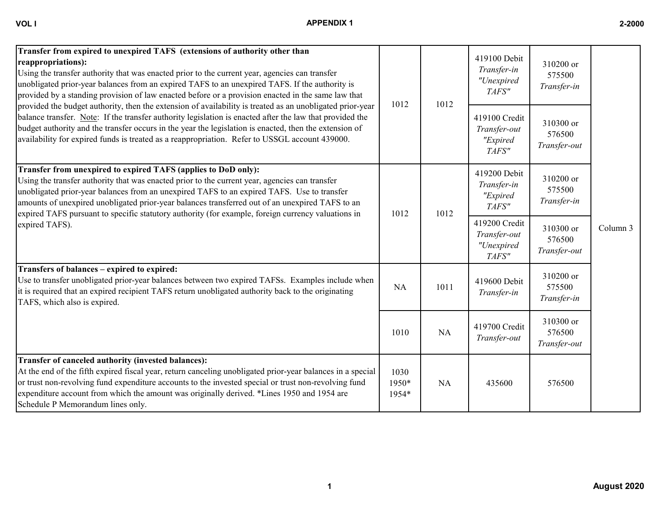| ×<br>I<br>. .<br>v |  |
|--------------------|--|
|                    |  |

| VOL I | <b>APPENDIX 1</b> | 2-2000 |
|-------|-------------------|--------|
|       |                   |        |
|       |                   |        |

| Transfer from expired to unexpired TAFS (extensions of authority other than<br>reappropriations):<br>Using the transfer authority that was enacted prior to the current year, agencies can transfer<br>unobligated prior-year balances from an expired TAFS to an unexpired TAFS. If the authority is<br>provided by a standing provision of law enacted before or a provision enacted in the same law that                                                             |                        |      | 419100 Debit<br>Transfer-in<br>"Unexpired<br>TAFS"   | 310200 or<br>575500<br>Transfer-in  |          |
|-------------------------------------------------------------------------------------------------------------------------------------------------------------------------------------------------------------------------------------------------------------------------------------------------------------------------------------------------------------------------------------------------------------------------------------------------------------------------|------------------------|------|------------------------------------------------------|-------------------------------------|----------|
| provided the budget authority, then the extension of availability is treated as an unobligated prior-year<br>balance transfer. Note: If the transfer authority legislation is enacted after the law that provided the<br>budget authority and the transfer occurs in the year the legislation is enacted, then the extension of<br>availability for expired funds is treated as a reappropriation. Refer to USSGL account 439000.                                       | 1012                   | 1012 | 419100 Credit<br>Transfer-out<br>"Expired<br>TAFS"   | 310300 or<br>576500<br>Transfer-out |          |
| Transfer from unexpired to expired TAFS (applies to DoD only):<br>Using the transfer authority that was enacted prior to the current year, agencies can transfer<br>unobligated prior-year balances from an unexpired TAFS to an expired TAFS. Use to transfer<br>amounts of unexpired unobligated prior-year balances transferred out of an unexpired TAFS to an<br>expired TAFS pursuant to specific statutory authority (for example, foreign currency valuations in | 1012                   | 1012 | 419200 Debit<br>Transfer-in<br>"Expired<br>TAFS"     | 310200 or<br>575500<br>Transfer-in  |          |
| expired TAFS).                                                                                                                                                                                                                                                                                                                                                                                                                                                          |                        |      | 419200 Credit<br>Transfer-out<br>"Unexpired<br>TAFS" | 310300 or<br>576500<br>Transfer-out | Column 3 |
| Transfers of balances - expired to expired:<br>Use to transfer unobligated prior-year balances between two expired TAFSs. Examples include when<br>it is required that an expired recipient TAFS return unobligated authority back to the originating<br>TAFS, which also is expired.                                                                                                                                                                                   | NA                     | 1011 | 419600 Debit<br>Transfer-in                          | 310200 or<br>575500<br>Transfer-in  |          |
|                                                                                                                                                                                                                                                                                                                                                                                                                                                                         | 1010                   | NA   | 419700 Credit<br>Transfer-out                        | 310300 or<br>576500<br>Transfer-out |          |
| Transfer of canceled authority (invested balances):<br>At the end of the fifth expired fiscal year, return canceling unobligated prior-year balances in a special<br>or trust non-revolving fund expenditure accounts to the invested special or trust non-revolving fund<br>expenditure account from which the amount was originally derived. *Lines 1950 and 1954 are<br>Schedule P Memorandum lines only.                                                            | 1030<br>1950*<br>1954* | NA   | 435600                                               | 576500                              |          |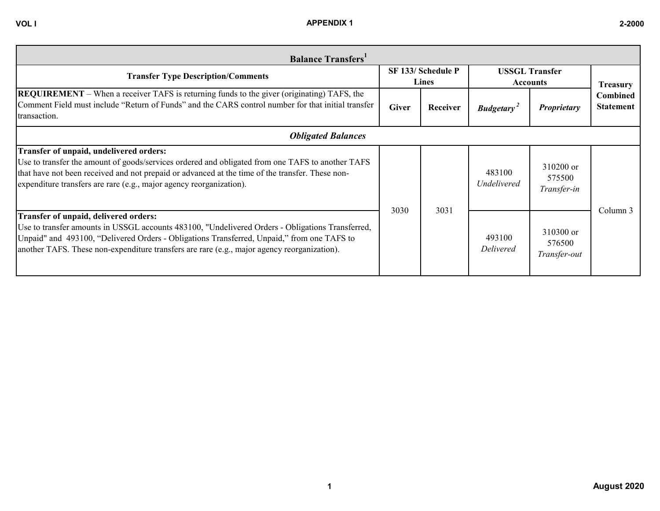| <b>Balance Transfers</b>                                                                                                                                                                                                                                                                                                               |                             |          |                                          |                                     |                                     |  |
|----------------------------------------------------------------------------------------------------------------------------------------------------------------------------------------------------------------------------------------------------------------------------------------------------------------------------------------|-----------------------------|----------|------------------------------------------|-------------------------------------|-------------------------------------|--|
| <b>Transfer Type Description/Comments</b>                                                                                                                                                                                                                                                                                              | SF 133/ Schedule P<br>Lines |          | <b>USSGL Transfer</b><br><b>Accounts</b> |                                     | <b>Treasury</b>                     |  |
| <b>REQUIREMENT</b> – When a receiver TAFS is returning funds to the giver (originating) TAFS, the<br>Comment Field must include "Return of Funds" and the CARS control number for that initial transfer<br>transaction.                                                                                                                | <b>Giver</b>                | Receiver | <b>Budgetary</b> <sup>2</sup>            | Proprietary                         | <b>Combined</b><br><b>Statement</b> |  |
| <b>Obligated Balances</b>                                                                                                                                                                                                                                                                                                              |                             |          |                                          |                                     |                                     |  |
| Transfer of unpaid, undelivered orders:<br>Use to transfer the amount of goods/services ordered and obligated from one TAFS to another TAFS<br>that have not been received and not prepaid or advanced at the time of the transfer. These non-<br>expenditure transfers are rare (e.g., major agency reorganization).                  |                             |          | 483100<br><b>Undelivered</b>             | 310200 or<br>575500<br>Transfer-in  |                                     |  |
| Transfer of unpaid, delivered orders:<br>Use to transfer amounts in USSGL accounts 483100, "Undelivered Orders - Obligations Transferred,<br>Unpaid" and 493100, "Delivered Orders - Obligations Transferred, Unpaid," from one TAFS to<br>another TAFS. These non-expenditure transfers are rare (e.g., major agency reorganization). | 3030                        | 3031     | 493100<br><b>Delivered</b>               | 310300 or<br>576500<br>Transfer-out | Column 3                            |  |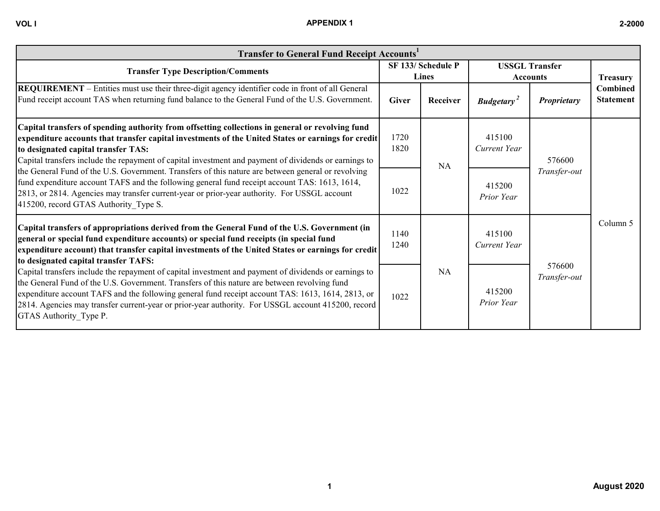## **VOL I APPENDIX 1 2-2000**

| <b>Transfer to General Fund Receipt Accounts'</b>                                                                                                                                                                                                                                                                                                                                                                                          |                                           |          |                               |                        |                                                 |                                          |  |
|--------------------------------------------------------------------------------------------------------------------------------------------------------------------------------------------------------------------------------------------------------------------------------------------------------------------------------------------------------------------------------------------------------------------------------------------|-------------------------------------------|----------|-------------------------------|------------------------|-------------------------------------------------|------------------------------------------|--|
| <b>Transfer Type Description/Comments</b>                                                                                                                                                                                                                                                                                                                                                                                                  | SF 133/ Schedule P<br><b>Lines</b>        |          |                               |                        |                                                 | <b>USSGL Transfer</b><br><b>Accounts</b> |  |
| <b>REQUIREMENT</b> – Entities must use their three-digit agency identifier code in front of all General<br>Fund receipt account TAS when returning fund balance to the General Fund of the U.S. Government.                                                                                                                                                                                                                                | <b>Giver</b>                              | Receiver | <b>Budgetary</b> <sup>2</sup> | <b>Proprietary</b>     | <b>Treasury</b><br>Combined<br><b>Statement</b> |                                          |  |
| Capital transfers of spending authority from offsetting collections in general or revolving fund<br>expenditure accounts that transfer capital investments of the United States or earnings for credit<br>to designated capital transfer TAS:<br>Capital transfers include the repayment of capital investment and payment of dividends or earnings to                                                                                     | 1720<br>1820                              | NA       | 415100<br>Current Year        | 576600<br>Transfer-out | Column 5                                        |                                          |  |
| the General Fund of the U.S. Government. Transfers of this nature are between general or revolving<br>fund expenditure account TAFS and the following general fund receipt account TAS: 1613, 1614,<br>2813, or 2814. Agencies may transfer current-year or prior-year authority. For USSGL account<br>415200, record GTAS Authority Type S.                                                                                               | 1022                                      |          | 415200<br>Prior Year          |                        |                                                 |                                          |  |
| Capital transfers of appropriations derived from the General Fund of the U.S. Government (in<br>general or special fund expenditure accounts) or special fund receipts (in special fund<br>expenditure account) that transfer capital investments of the United States or earnings for credit<br>to designated capital transfer TAFS:                                                                                                      | 1140<br>1240                              |          | 415100<br>Current Year        |                        |                                                 |                                          |  |
| Capital transfers include the repayment of capital investment and payment of dividends or earnings to<br>the General Fund of the U.S. Government. Transfers of this nature are between revolving fund<br>expenditure account TAFS and the following general fund receipt account TAS: 1613, 1614, 2813, or<br>2814. Agencies may transfer current-year or prior-year authority. For USSGL account 415200, record<br>GTAS Authority Type P. | <b>NA</b><br>415200<br>1022<br>Prior Year |          | 576600<br>Transfer-out        |                        |                                                 |                                          |  |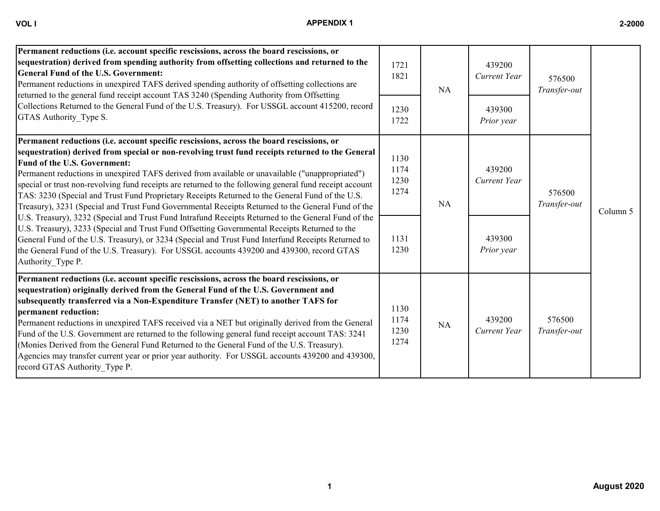| ſ | ı |
|---|---|
|   |   |

| Permanent reductions (i.e. account specific rescissions, across the board rescissions, or<br>sequestration) derived from spending authority from offsetting collections and returned to the<br><b>General Fund of the U.S. Government:</b><br>Permanent reductions in unexpired TAFS derived spending authority of offsetting collections are<br>returned to the general fund receipt account TAS 3240 (Spending Authority from Offsetting<br>Collections Returned to the General Fund of the U.S. Treasury). For USSGL account 415200, record<br>GTAS Authority Type S.                                                                                                                                                                                                                                                                                                                                                                                                                                                                                                            | 1721<br>1821                                 | NA | 439200<br>Current Year                         | 576500<br>Transfer-out |          |
|-------------------------------------------------------------------------------------------------------------------------------------------------------------------------------------------------------------------------------------------------------------------------------------------------------------------------------------------------------------------------------------------------------------------------------------------------------------------------------------------------------------------------------------------------------------------------------------------------------------------------------------------------------------------------------------------------------------------------------------------------------------------------------------------------------------------------------------------------------------------------------------------------------------------------------------------------------------------------------------------------------------------------------------------------------------------------------------|----------------------------------------------|----|------------------------------------------------|------------------------|----------|
|                                                                                                                                                                                                                                                                                                                                                                                                                                                                                                                                                                                                                                                                                                                                                                                                                                                                                                                                                                                                                                                                                     | 1230<br>1722                                 |    | 439300<br>Prior year                           |                        |          |
| Permanent reductions (i.e. account specific rescissions, across the board rescissions, or<br>sequestration) derived from special or non-revolving trust fund receipts returned to the General<br>Fund of the U.S. Government:<br>Permanent reductions in unexpired TAFS derived from available or unavailable ("unappropriated")<br>special or trust non-revolving fund receipts are returned to the following general fund receipt account<br>TAS: 3230 (Special and Trust Fund Proprietary Receipts Returned to the General Fund of the U.S.<br>Treasury), 3231 (Special and Trust Fund Governmental Receipts Returned to the General Fund of the<br>U.S. Treasury), 3232 (Special and Trust Fund Intrafund Receipts Returned to the General Fund of the<br>U.S. Treasury), 3233 (Special and Trust Fund Offsetting Governmental Receipts Returned to the<br>General Fund of the U.S. Treasury), or 3234 (Special and Trust Fund Interfund Receipts Returned to<br>the General Fund of the U.S. Treasury). For USSGL accounts 439200 and 439300, record GTAS<br>Authority Type P. | 1130<br>1174<br>1230<br>1274<br>1131<br>1230 | NA | 439200<br>Current Year<br>439300<br>Prior year | 576500<br>Transfer-out | Column 5 |
| Permanent reductions (i.e. account specific rescissions, across the board rescissions, or<br>sequestration) originally derived from the General Fund of the U.S. Government and<br>subsequently transferred via a Non-Expenditure Transfer (NET) to another TAFS for<br>permanent reduction:<br>Permanent reductions in unexpired TAFS received via a NET but originally derived from the General<br>Fund of the U.S. Government are returned to the following general fund receipt account TAS: 3241<br>(Monies Derived from the General Fund Returned to the General Fund of the U.S. Treasury).<br>Agencies may transfer current year or prior year authority. For USSGL accounts 439200 and 439300,<br>record GTAS Authority Type P.                                                                                                                                                                                                                                                                                                                                            | 1130<br>1174<br>1230<br>1274                 | NA | 439200<br>Current Year                         | 576500<br>Transfer-out |          |